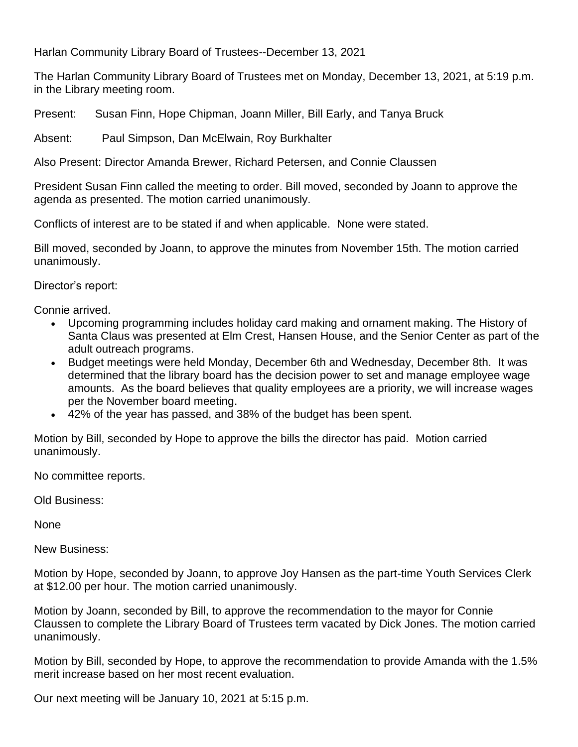Harlan Community Library Board of Trustees--December 13, 2021

The Harlan Community Library Board of Trustees met on Monday, December 13, 2021, at 5:19 p.m. in the Library meeting room.

Present: Susan Finn, Hope Chipman, Joann Miller, Bill Early, and Tanya Bruck

Absent: Paul Simpson, Dan McElwain, Roy Burkhalter

Also Present: Director Amanda Brewer, Richard Petersen, and Connie Claussen

President Susan Finn called the meeting to order. Bill moved, seconded by Joann to approve the agenda as presented. The motion carried unanimously.

Conflicts of interest are to be stated if and when applicable. None were stated.

Bill moved, seconded by Joann, to approve the minutes from November 15th. The motion carried unanimously.

Director's report:

Connie arrived.

- Upcoming programming includes holiday card making and ornament making. The History of Santa Claus was presented at Elm Crest, Hansen House, and the Senior Center as part of the adult outreach programs.
- Budget meetings were held Monday, December 6th and Wednesday, December 8th. It was determined that the library board has the decision power to set and manage employee wage amounts. As the board believes that quality employees are a priority, we will increase wages per the November board meeting.
- 42% of the year has passed, and 38% of the budget has been spent.

Motion by Bill, seconded by Hope to approve the bills the director has paid. Motion carried unanimously.

No committee reports.

Old Business:

None

New Business:

Motion by Hope, seconded by Joann, to approve Joy Hansen as the part-time Youth Services Clerk at \$12.00 per hour. The motion carried unanimously.

Motion by Joann, seconded by Bill, to approve the recommendation to the mayor for Connie Claussen to complete the Library Board of Trustees term vacated by Dick Jones. The motion carried unanimously.

Motion by Bill, seconded by Hope, to approve the recommendation to provide Amanda with the 1.5% merit increase based on her most recent evaluation.

Our next meeting will be January 10, 2021 at 5:15 p.m.